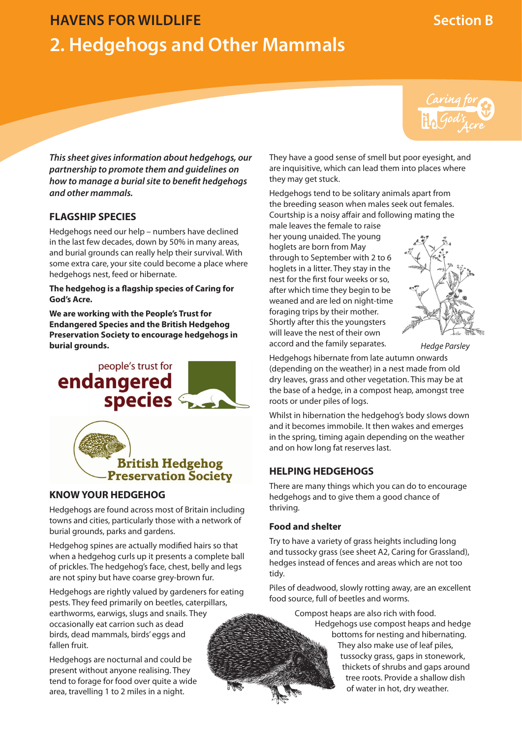# **HAVENS FOR WILDLIFE Section B 2. Hedgehogs and Other Mammals**



*This sheet gives information about hedgehogs, our partnership to promote them and guidelines on how to manage a burial site to benefit hedgehogs and other mammals.*

# **FLAGSHIP SPECIES**

Hedgehogs need our help – numbers have declined in the last few decades, down by 50% in many areas, and burial grounds can really help their survival. With some extra care, your site could become a place where hedgehogs nest, feed or hibernate.

#### **The hedgehog is a flagship species of Caring for God's Acre.**

**We are working with the People's Trust for Endangered Species and the British Hedgehog Preservation Society to encourage hedgehogs in burial grounds.**





# **KNOW YOUR HEDGEHOG**

Hedgehogs are found across most of Britain including towns and cities, particularly those with a network of burial grounds, parks and gardens.

Hedgehog spines are actually modified hairs so that when a hedgehog curls up it presents a complete ball of prickles. The hedgehog's face, chest, belly and legs are not spiny but have coarse grey-brown fur.

Hedgehogs are rightly valued by gardeners for eating pests. They feed primarily on beetles, caterpillars, earthworms, earwigs, slugs and snails. They occasionally eat carrion such as dead birds, dead mammals, birds' eggs and fallen fruit.

Hedgehogs are nocturnal and could be present without anyone realising. They tend to forage for food over quite a wide area, travelling 1 to 2 miles in a night.

They have a good sense of smell but poor eyesight, and are inquisitive, which can lead them into places where they may get stuck.

Hedgehogs tend to be solitary animals apart from the breeding season when males seek out females. Courtship is a noisy affair and following mating the male leaves the female to raise

her young unaided. The young hoglets are born from May through to September with 2 to 6 hoglets in a litter. They stay in the nest for the first four weeks or so, after which time they begin to be weaned and are led on night-time foraging trips by their mother. Shortly after this the youngsters will leave the nest of their own accord and the family separates.



*Hedge Parsley*

Hedgehogs hibernate from late autumn onwards (depending on the weather) in a nest made from old dry leaves, grass and other vegetation. This may be at the base of a hedge, in a compost heap, amongst tree roots or under piles of logs.

Whilst in hibernation the hedgehog's body slows down and it becomes immobile. It then wakes and emerges in the spring, timing again depending on the weather and on how long fat reserves last.

# **HELPING HEDGEHOGS**

There are many things which you can do to encourage hedgehogs and to give them a good chance of thriving.

### **Food and shelter**

Try to have a variety of grass heights including long and tussocky grass (see sheet A2, Caring for Grassland), hedges instead of fences and areas which are not too tidy.

Piles of deadwood, slowly rotting away, are an excellent food source, full of beetles and worms.

> Compost heaps are also rich with food. Hedgehogs use compost heaps and hedge bottoms for nesting and hibernating. They also make use of leaf piles, tussocky grass, gaps in stonework, thickets of shrubs and gaps around tree roots. Provide a shallow dish of water in hot, dry weather.